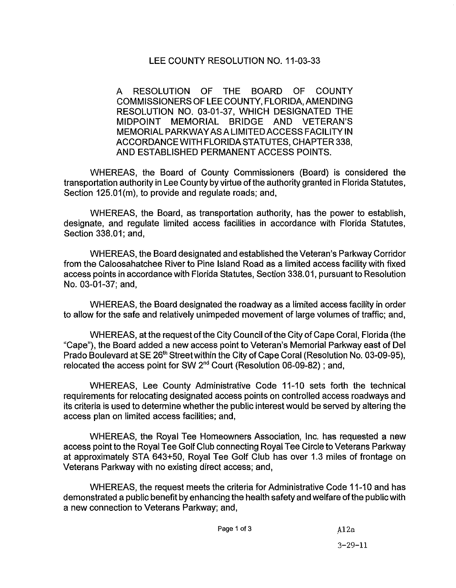## LEE COUNTY RESOLUTION NO. 11-03-33

A RESOLUTION OF THE BOARD OF COUNTY COMMISSIONERS OF LEE COUNTY, FLORIDA, AMENDING RESOLUTION NO. 03-01-37, WHICH DESIGNATED THE MIDPOINT MEMORIAL BRIDGE AND VETERAN'S MEMORIALPARKWAYASALIMITEDACCESSFACILITYIN ACCORDANCE WITH FLORIDA STATUTES, CHAPTER 338, AND ESTABLISHED PERMANENT ACCESS POINTS.

WHEREAS, the Board of County Commissioners (Board) is considered the transportation authority in Lee County by virtue of the authority granted in Florida Statutes, Section 125.01(m), to provide and regulate roads; and,

WHEREAS, the Board, as transportation authority, has the power to establish, designate, and regulate limited access facilities in accordance with Florida Statutes, Section 338.01; and,

WHEREAS, the Board designated and established the Veteran's Parkway Corridor from the Caloosahatchee River to Pine Island Road as a limited access facility with fixed access points in accordance with Florida Statutes, Section 338. 01, pursuant to Resolution No. 03-01-37; and,

WHEREAS, the Board designated the roadway as a limited access facility in order to allow for the safe and relatively unimpeded movement of large volumes of traffic; and,

WHEREAS, at the request of the City Council of the City of Cape Coral, Florida (the "Cape"), the Board added a new access point to Veteran's Memorial Parkway east of Del Prado Boulevard at SE 26<sup>th</sup> Street within the City of Cape Coral (Resolution No. 03-09-95), relocated the access point for SW  $2<sup>nd</sup>$  Court (Resolution 06-09-82); and,

WHEREAS, Lee County Administrative Code 11-10 sets forth the technical requirements for relocating designated access points on controlled access roadways and its criteria is used to determine whether the public interest would be served by altering the access plan on limited access facilities; and,

WHEREAS, the Royal Tee Homeowners Association, Inc. has requested a new access point to the Royal Tee Golf Club connecting Royal Tee Circle to Veterans Parkway at approximately STA 643+50, Royal Tee Golf Club has over 1.3 miles of frontage on Veterans Parkway with no existing direct access; and,

WHEREAS, the request meets the criteria for Administrative Code 11-10 and has demonstrated a public benefit by enhancing the health safety and welfare ofthe public with a new connection to Veterans Parkway; and,

Page 1 of 3 A12a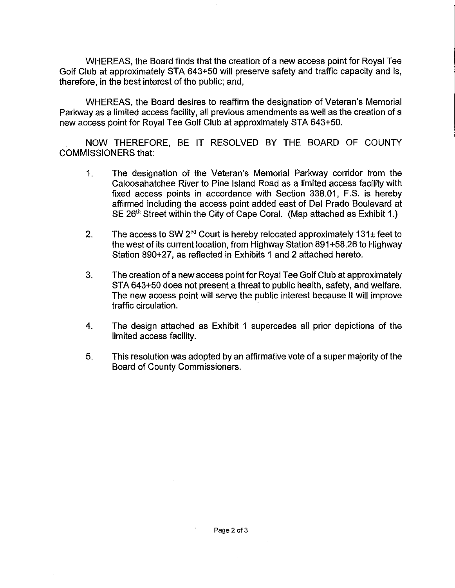WHEREAS, the Board finds that the creation of a new access point for Royal Tee Golf Club at approximately STA 643+50 will preserve safety and traffic capacity and is, therefore, in the best interest of the public; and,

WHEREAS, the Board desires to reaffirm the designation of Veteran's Memorial Parkway as a limited access facility, all previous amendments as well as the creation of a new access point for Royal Tee Golf Club at approximately STA 643+50.

NOW THEREFORE, BE IT RESOLVED BY THE BOARD OF COUNTY COMMISSIONERS that:

- 1. The designation of the Veteran's Memorial Parkway corridor from the Caloosahatchee River to Pine Island Road as a limited access facility with fixed access points in accordance with Section 338.01, F.S. is hereby affirmed including the access point added east of Del Prado Boulevard at SE 26<sup>th</sup> Street within the City of Cape Coral. (Map attached as Exhibit 1.)
- 2. The access to SW  $2<sup>nd</sup>$  Court is hereby relocated approximately 131 $\pm$  feet to the west of its current location, from Highway Station 891 +58.26 to Highway Station 890+27, as reflected in Exhibits 1 and 2 attached hereto.
- 3. The creation of a new access point for Royal Tee Golf Club at approximately STA 643+50 does not present a threat to public health, safety, and welfare. The new access point will serve the public interest because it will improve traffic circulation.
- 4. The design attached as Exhibit 1 supercedes all prior depictions of the limited access facility.
- 5. This resolution was adopted by an affirmative vote of a super majority of the Board of County Commissioners.